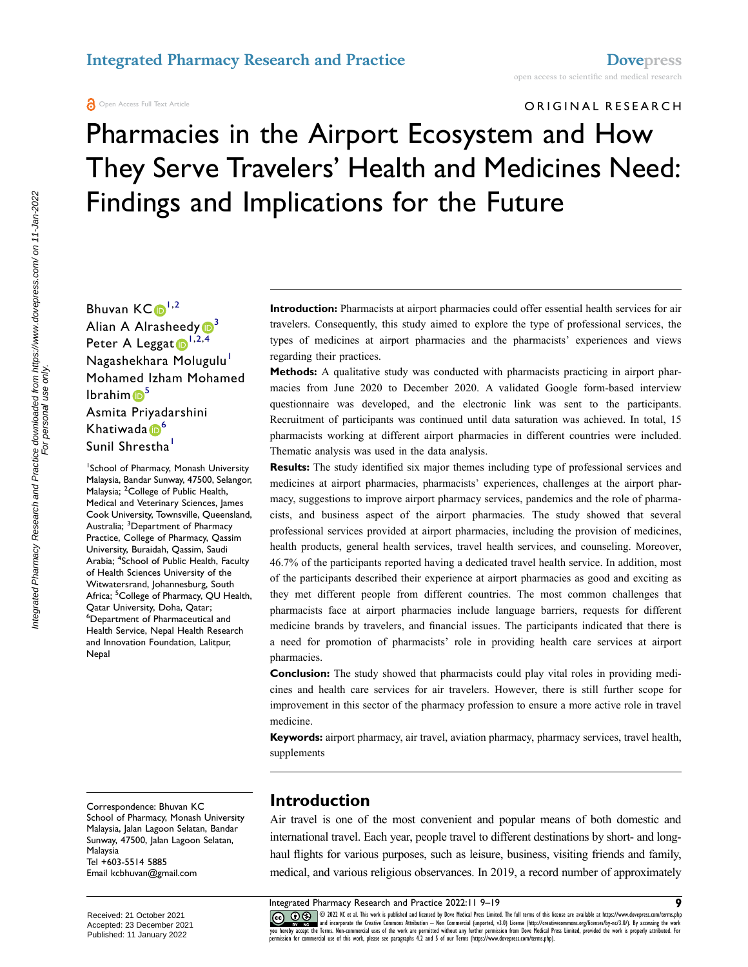#### ORIGINAL RESEARCH

# Pharmacies in the Airport Ecosystem and How They Serve Travelers' Health and Medicines Need: Findings and Implications for the Future

Bhuvan  $KC \cdot 1^{1,2}$  $KC \cdot 1^{1,2}$  $KC \cdot 1^{1,2}$  $KC \cdot 1^{1,2}$ Alian A Alrasheedy  $\mathbb{D}^3$ Peter A Leggat  $\mathbf{D}^{1,2,4}$  $\mathbf{D}^{1,2,4}$  $\mathbf{D}^{1,2,4}$  $\mathbf{D}^{1,2,4}$  $\mathbf{D}^{1,2,4}$  $\mathbf{D}^{1,2,4}$ Nagashekhara Molugulu<sup>1</sup> Mohamed Izham Mohamed  $I<sub>b</sub>$  Ibrahi[m](http://orcid.org/0000-0001-9757-3574)  $\blacksquare$ <sup>[5](#page-0-4)</sup> Asmita Priyadarshini Khatiwada <sup>6</sup>

#### Sunil Shrestha<sup>[1](#page-0-0)</sup>

<span id="page-0-5"></span><span id="page-0-4"></span><span id="page-0-3"></span><span id="page-0-2"></span><span id="page-0-1"></span><span id="page-0-0"></span>1 School of Pharmacy, Monash University Malaysia, Bandar Sunway, 47500, Selangor, Malaysia; <sup>2</sup>College of Public Health, Medical and Veterinary Sciences, James Cook University, Townsville, Queensland, Australia; <sup>3</sup>Department of Pharmacy Practice, College of Pharmacy, Qassim University, Buraidah, Qassim, Saudi Arabia; <sup>4</sup> School of Public Health, Faculty of Health Sciences University of the Witwatersrand, Johannesburg, South Africa; <sup>5</sup>College of Pharmacy, QU Health, Qatar University, Doha, Qatar; 6 Department of Pharmaceutical and Health Service, Nepal Health Research and Innovation Foundation, Lalitpur, Nepal

Correspondence: Bhuvan KC School of Pharmacy, Monash University Malaysia, Jalan Lagoon Selatan, Bandar Sunway, 47500, Jalan Lagoon Selatan, Malaysia Tel +603-5514 5885 Email [kcbhuvan@gmail.com](mailto:kcbhuvan@gmail.com)

For personal use only.

**Introduction:** Pharmacists at airport pharmacies could offer essential health services for air travelers. Consequently, this study aimed to explore the type of professional services, the types of medicines at airport pharmacies and the pharmacists' experiences and views regarding their practices.

**Methods:** A qualitative study was conducted with pharmacists practicing in airport pharmacies from June 2020 to December 2020. A validated Google form-based interview questionnaire was developed, and the electronic link was sent to the participants. Recruitment of participants was continued until data saturation was achieved. In total, 15 pharmacists working at different airport pharmacies in different countries were included. Thematic analysis was used in the data analysis.

**Results:** The study identified six major themes including type of professional services and medicines at airport pharmacies, pharmacists' experiences, challenges at the airport pharmacy, suggestions to improve airport pharmacy services, pandemics and the role of pharmacists, and business aspect of the airport pharmacies. The study showed that several professional services provided at airport pharmacies, including the provision of medicines, health products, general health services, travel health services, and counseling. Moreover, 46.7% of the participants reported having a dedicated travel health service. In addition, most of the participants described their experience at airport pharmacies as good and exciting as they met different people from different countries. The most common challenges that pharmacists face at airport pharmacies include language barriers, requests for different medicine brands by travelers, and financial issues. The participants indicated that there is a need for promotion of pharmacists' role in providing health care services at airport pharmacies.

**Conclusion:** The study showed that pharmacists could play vital roles in providing medicines and health care services for air travelers. However, there is still further scope for improvement in this sector of the pharmacy profession to ensure a more active role in travel medicine.

**Keywords:** airport pharmacy, air travel, aviation pharmacy, pharmacy services, travel health, supplements

### **Introduction**

Air travel is one of the most convenient and popular means of both domestic and international travel. Each year, people travel to different destinations by short- and longhaul flights for various purposes, such as leisure, business, visiting friends and family, medical, and various religious observances. In 2019, a record number of approximately

CO 1022 K et al. This work is published and licensed by Dove Medical Press Limited. The full terms of this license are available at https://www.dovepress.com/terms.php<br>you hereby accept the Terms. Non-commercial uses of th

Received: 21 October 2021 Accepted: 23 December 2021 Published: 11 January 2022

Integrated Pharmacy Research and Practice 2022:11 9–19 **9**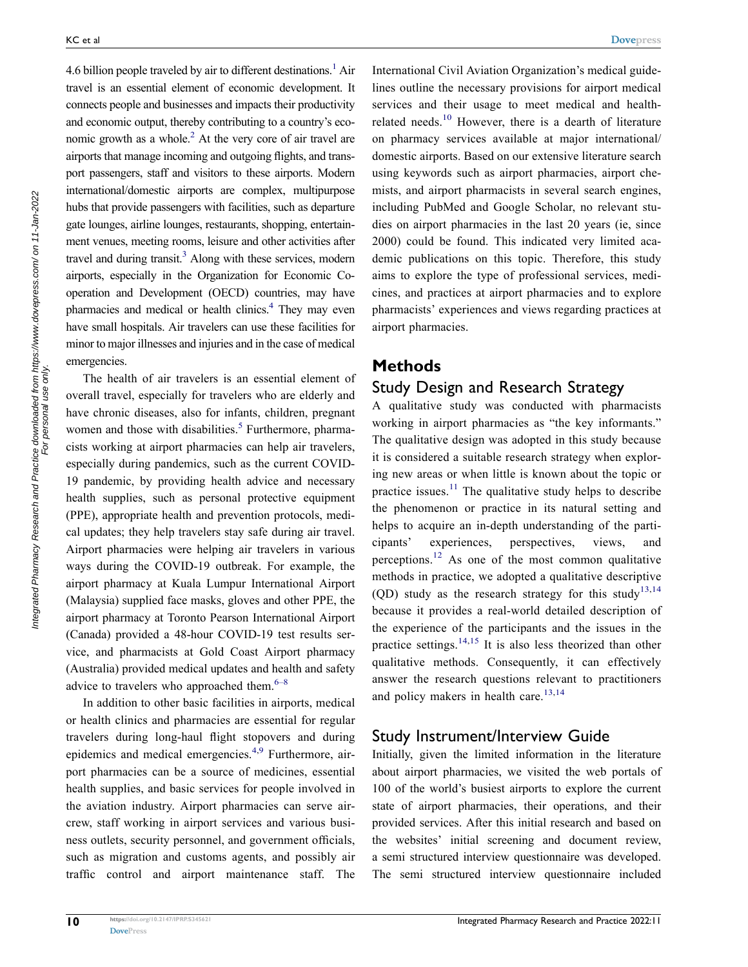<span id="page-1-1"></span><span id="page-1-0"></span>4.6 billion people traveled by air to different destinations.<sup>1</sup> Air travel is an essential element of economic development. It connects people and businesses and impacts their productivity and economic output, thereby contributing to a country's eco-nomic growth as a whole.<sup>[2](#page-9-1)</sup> At the very core of air travel are airports that manage incoming and outgoing flights, and transport passengers, staff and visitors to these airports. Modern international/domestic airports are complex, multipurpose hubs that provide passengers with facilities, such as departure gate lounges, airline lounges, restaurants, shopping, entertainment venues, meeting rooms, leisure and other activities after travel and during transit.<sup>3</sup> Along with these services, modern airports, especially in the Organization for Economic Cooperation and Development (OECD) countries, may have pharmacies and medical or health clinics[.4](#page-9-3) They may even have small hospitals. Air travelers can use these facilities for minor to major illnesses and injuries and in the case of medical emergencies.

<span id="page-1-4"></span><span id="page-1-2"></span>The health of air travelers is an essential element of overall travel, especially for travelers who are elderly and have chronic diseases, also for infants, children, pregnant women and those with disabilities.<sup>5</sup> Furthermore, pharmacists working at airport pharmacies can help air travelers, especially during pandemics, such as the current COVID-19 pandemic, by providing health advice and necessary health supplies, such as personal protective equipment (PPE), appropriate health and prevention protocols, medical updates; they help travelers stay safe during air travel. Airport pharmacies were helping air travelers in various ways during the COVID-19 outbreak. For example, the airport pharmacy at Kuala Lumpur International Airport (Malaysia) supplied face masks, gloves and other PPE, the airport pharmacy at Toronto Pearson International Airport (Canada) provided a 48-hour COVID-19 test results service, and pharmacists at Gold Coast Airport pharmacy (Australia) provided medical updates and health and safety advice to travelers who approached them. $6-8$  $6-8$ 

<span id="page-1-5"></span><span id="page-1-3"></span>In addition to other basic facilities in airports, medical or health clinics and pharmacies are essential for regular travelers during long-haul flight stopovers and during epidemics and medical emergencies.[4](#page-9-3)[,9](#page-9-7) Furthermore, airport pharmacies can be a source of medicines, essential health supplies, and basic services for people involved in the aviation industry. Airport pharmacies can serve aircrew, staff working in airport services and various business outlets, security personnel, and government officials, such as migration and customs agents, and possibly air traffic control and airport maintenance staff. The <span id="page-1-6"></span>International Civil Aviation Organization's medical guidelines outline the necessary provisions for airport medical services and their usage to meet medical and healthrelated needs.<sup>10</sup> However, there is a dearth of literature on pharmacy services available at major international/ domestic airports. Based on our extensive literature search using keywords such as airport pharmacies, airport chemists, and airport pharmacists in several search engines, including PubMed and Google Scholar, no relevant studies on airport pharmacies in the last 20 years (ie, since 2000) could be found. This indicated very limited academic publications on this topic. Therefore, this study aims to explore the type of professional services, medicines, and practices at airport pharmacies and to explore pharmacists' experiences and views regarding practices at airport pharmacies.

#### **Methods**

### Study Design and Research Strategy

<span id="page-1-8"></span><span id="page-1-7"></span>A qualitative study was conducted with pharmacists working in airport pharmacies as "the key informants." The qualitative design was adopted in this study because it is considered a suitable research strategy when exploring new areas or when little is known about the topic or practice issues. $11$  The qualitative study helps to describe the phenomenon or practice in its natural setting and helps to acquire an in-depth understanding of the participants' experiences, perspectives, views, and perceptions.<sup>[12](#page-9-10)</sup> As one of the most common qualitative methods in practice, we adopted a qualitative descriptive (QD) study as the research strategy for this study<sup>[13,](#page-9-11)14</sup> because it provides a real-world detailed description of the experience of the participants and the issues in the practice settings.<sup>[14,](#page-9-12)[15](#page-9-13)</sup> It is also less theorized than other qualitative methods. Consequently, it can effectively answer the research questions relevant to practitioners and policy makers in health care. $13,14$  $13,14$ 

### <span id="page-1-10"></span><span id="page-1-9"></span>Study Instrument/Interview Guide

Initially, given the limited information in the literature about airport pharmacies, we visited the web portals of 100 of the world's busiest airports to explore the current state of airport pharmacies, their operations, and their provided services. After this initial research and based on the websites' initial screening and document review, a semi structured interview questionnaire was developed. The semi structured interview questionnaire included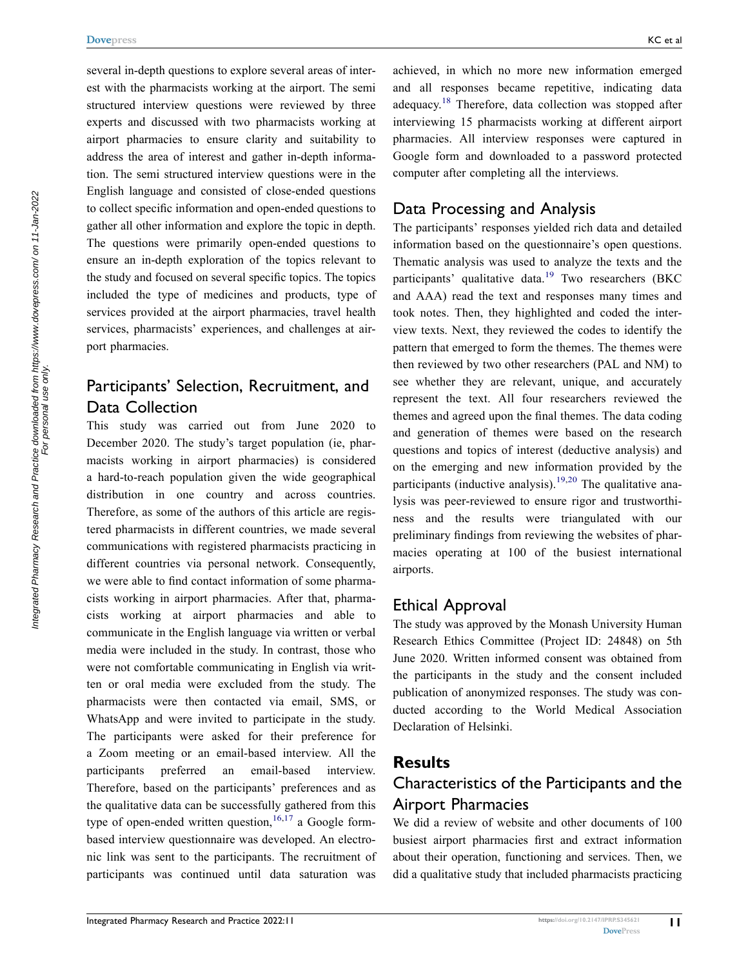several in-depth questions to explore several areas of interest with the pharmacists working at the airport. The semi structured interview questions were reviewed by three experts and discussed with two pharmacists working at airport pharmacies to ensure clarity and suitability to address the area of interest and gather in-depth information. The semi structured interview questions were in the English language and consisted of close-ended questions to collect specific information and open-ended questions to gather all other information and explore the topic in depth. The questions were primarily open-ended questions to ensure an in-depth exploration of the topics relevant to the study and focused on several specific topics. The topics included the type of medicines and products, type of services provided at the airport pharmacies, travel health services, pharmacists' experiences, and challenges at airport pharmacies.

### Participants' Selection, Recruitment, and Data Collection

This study was carried out from June 2020 to December 2020. The study's target population (ie, pharmacists working in airport pharmacies) is considered a hard-to-reach population given the wide geographical distribution in one country and across countries. Therefore, as some of the authors of this article are registered pharmacists in different countries, we made several communications with registered pharmacists practicing in different countries via personal network. Consequently, we were able to find contact information of some pharmacists working in airport pharmacies. After that, pharmacists working at airport pharmacies and able to communicate in the English language via written or verbal media were included in the study. In contrast, those who were not comfortable communicating in English via written or oral media were excluded from the study. The pharmacists were then contacted via email, SMS, or WhatsApp and were invited to participate in the study. The participants were asked for their preference for a Zoom meeting or an email-based interview. All the participants preferred an email-based interview. Therefore, based on the participants' preferences and as the qualitative data can be successfully gathered from this type of open-ended written question,  $16,17$  $16,17$  a Google formbased interview questionnaire was developed. An electronic link was sent to the participants. The recruitment of participants was continued until data saturation was

<span id="page-2-1"></span>achieved, in which no more new information emerged and all responses became repetitive, indicating data adequacy.[18](#page-9-16) Therefore, data collection was stopped after interviewing 15 pharmacists working at different airport pharmacies. All interview responses were captured in Google form and downloaded to a password protected computer after completing all the interviews.

### Data Processing and Analysis

The participants' responses yielded rich data and detailed information based on the questionnaire's open questions. Thematic analysis was used to analyze the texts and the participants' qualitative data.<sup>19</sup> Two researchers (BKC and AAA) read the text and responses many times and took notes. Then, they highlighted and coded the interview texts. Next, they reviewed the codes to identify the pattern that emerged to form the themes. The themes were then reviewed by two other researchers (PAL and NM) to see whether they are relevant, unique, and accurately represent the text. All four researchers reviewed the themes and agreed upon the final themes. The data coding and generation of themes were based on the research questions and topics of interest (deductive analysis) and on the emerging and new information provided by the participants (inductive analysis).<sup>[19](#page-9-17),20</sup> The qualitative analysis was peer-reviewed to ensure rigor and trustworthiness and the results were triangulated with our preliminary findings from reviewing the websites of pharmacies operating at 100 of the busiest international airports.

#### <span id="page-2-2"></span>Ethical Approval

The study was approved by the Monash University Human Research Ethics Committee (Project ID: 24848) on 5th June 2020. Written informed consent was obtained from the participants in the study and the consent included publication of anonymized responses. The study was conducted according to the World Medical Association Declaration of Helsinki.

### **Results**

### Characteristics of the Participants and the Airport Pharmacies

<span id="page-2-0"></span>We did a review of website and other documents of 100 busiest airport pharmacies first and extract information about their operation, functioning and services. Then, we did a qualitative study that included pharmacists practicing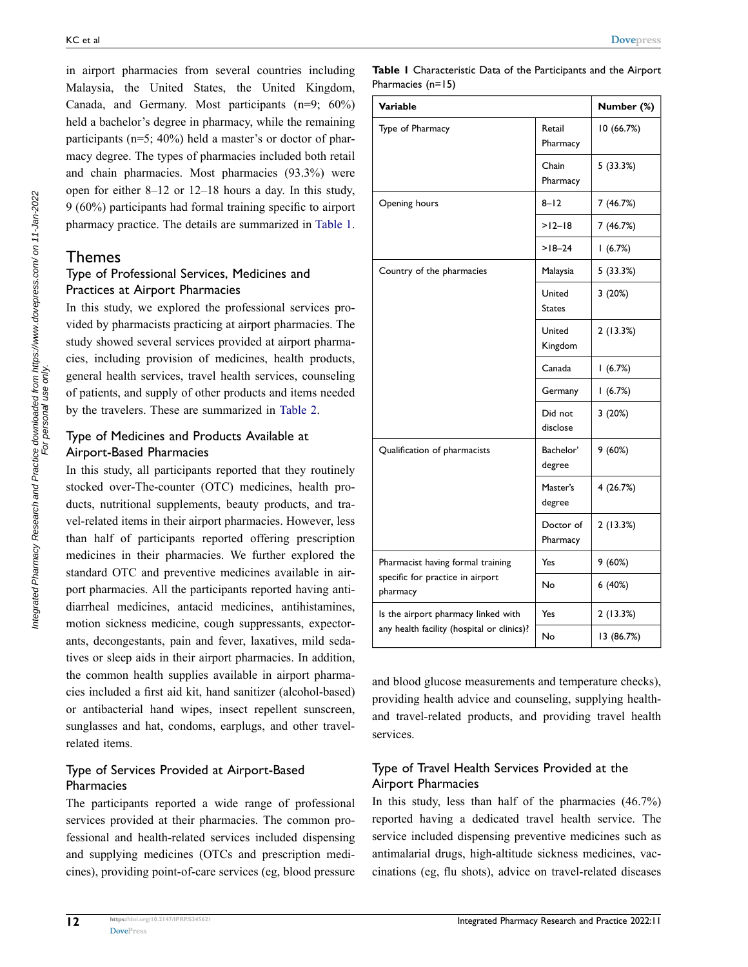in airport pharmacies from several countries including Malaysia, the United States, the United Kingdom, Canada, and Germany. Most participants (n=9; 60%) held a bachelor's degree in pharmacy, while the remaining participants (n=5; 40%) held a master's or doctor of pharmacy degree. The types of pharmacies included both retail and chain pharmacies. Most pharmacies (93.3%) were open for either 8–12 or 12–18 hours a day. In this study, 9 (60%) participants had formal training specific to airport pharmacy practice. The details are summarized in [Table 1](#page-3-0).

### Themes

#### Type of Professional Services, Medicines and Practices at Airport Pharmacies

In this study, we explored the professional services provided by pharmacists practicing at airport pharmacies. The study showed several services provided at airport pharmacies, including provision of medicines, health products, general health services, travel health services, counseling of patients, and supply of other products and items needed by the travelers. These are summarized in [Table 2](#page-4-0).

#### Type of Medicines and Products Available at Airport-Based Pharmacies

In this study, all participants reported that they routinely stocked over-The-counter (OTC) medicines, health products, nutritional supplements, beauty products, and travel-related items in their airport pharmacies. However, less than half of participants reported offering prescription medicines in their pharmacies. We further explored the standard OTC and preventive medicines available in airport pharmacies. All the participants reported having antidiarrheal medicines, antacid medicines, antihistamines, motion sickness medicine, cough suppressants, expectorants, decongestants, pain and fever, laxatives, mild sedatives or sleep aids in their airport pharmacies. In addition, the common health supplies available in airport pharmacies included a first aid kit, hand sanitizer (alcohol-based) or antibacterial hand wipes, insect repellent sunscreen, sunglasses and hat, condoms, earplugs, and other travelrelated items.

#### Type of Services Provided at Airport-Based **Pharmacies**

The participants reported a wide range of professional services provided at their pharmacies. The common professional and health-related services included dispensing and supplying medicines (OTCs and prescription medicines), providing point-of-care services (eg, blood pressure

Integrated Pharmacy Research and Practice downloaded from https://www.dovepress.com/ on 11-Jan-2022<br>For personal use only.

Integrated Pharmacy Research and Practice downloaded from https://www.dovepress.com/ on 11-Jan-2022<br>For personal use only.

<span id="page-3-0"></span>**Table 1** Characteristic Data of the Participants and the Airport Pharmacies (n=15)

| Variable                                                                          |                         | Number (%) |
|-----------------------------------------------------------------------------------|-------------------------|------------|
| Type of Pharmacy                                                                  | Retail<br>Pharmacy      | 10 (66.7%) |
|                                                                                   | Chain<br>Pharmacy       | 5(33.3%)   |
| Opening hours                                                                     | $8 - 12$                | 7 (46.7%)  |
|                                                                                   | $>12 - 18$              | 7 (46.7%)  |
|                                                                                   | $>18 - 24$              | 1(6.7%)    |
| Country of the pharmacies                                                         | Malaysia                | 5(33.3%)   |
|                                                                                   | United<br><b>States</b> | 3(20%)     |
|                                                                                   | United<br>Kingdom       | 2(13.3%)   |
|                                                                                   | Canada                  | 1(6.7%)    |
|                                                                                   | Germany                 | 1(6.7%)    |
|                                                                                   | Did not<br>disclose     | 3(20%)     |
| Qualification of pharmacists                                                      | Bachelor'<br>degree     | 9(60%)     |
|                                                                                   | Master's<br>degree      | 4 (26.7%)  |
|                                                                                   | Doctor of<br>Pharmacy   | 2(13.3%)   |
| Pharmacist having formal training<br>specific for practice in airport<br>pharmacy | Yes                     | 9 (60%)    |
|                                                                                   | No                      | 6(40%)     |
| Is the airport pharmacy linked with<br>any health facility (hospital or clinics)? | Yes                     | 2 (13.3%)  |
|                                                                                   | No                      | 13 (86.7%) |

and blood glucose measurements and temperature checks), providing health advice and counseling, supplying healthand travel-related products, and providing travel health services.

#### Type of Travel Health Services Provided at the Airport Pharmacies

In this study, less than half of the pharmacies (46.7%) reported having a dedicated travel health service. The service included dispensing preventive medicines such as antimalarial drugs, high-altitude sickness medicines, vaccinations (eg, flu shots), advice on travel-related diseases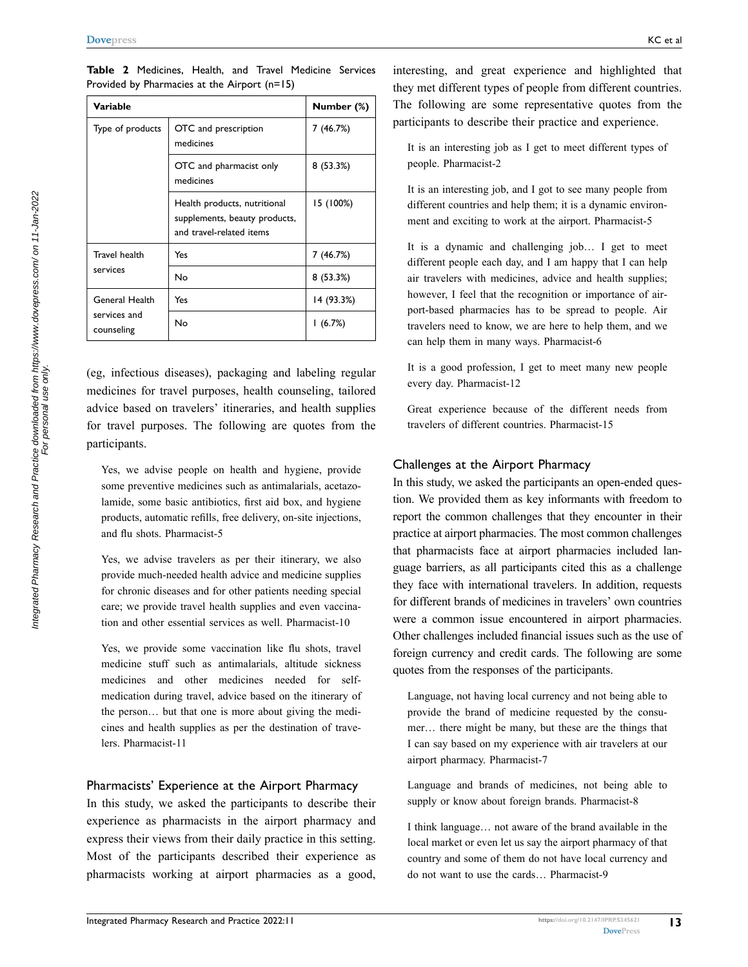| Variable                                     |                                                                                           | Number (%) |
|----------------------------------------------|-------------------------------------------------------------------------------------------|------------|
| Type of products                             | OTC and prescription<br>medicines                                                         | 7 (46.7%)  |
|                                              | OTC and pharmacist only<br>medicines                                                      | 8(53.3%)   |
|                                              | Health products, nutritional<br>supplements, beauty products,<br>and travel-related items | 15 (100%)  |
| Travel health<br>services                    | Yes                                                                                       | 7(46.7%)   |
|                                              | No                                                                                        | 8(53.3%)   |
| General Health<br>services and<br>counseling | Yes                                                                                       | 14 (93.3%) |
|                                              | No                                                                                        | 1(6.7%)    |

<span id="page-4-0"></span>**Table 2** Medicines, Health, and Travel Medicine Services Provided by Pharmacies at the Airport (n=15)

(eg, infectious diseases), packaging and labeling regular medicines for travel purposes, health counseling, tailored advice based on travelers' itineraries, and health supplies for travel purposes. The following are quotes from the participants.

Yes, we advise people on health and hygiene, provide some preventive medicines such as antimalarials, acetazolamide, some basic antibiotics, first aid box, and hygiene products, automatic refills, free delivery, on-site injections, and flu shots. Pharmacist-5

Yes, we advise travelers as per their itinerary, we also provide much-needed health advice and medicine supplies for chronic diseases and for other patients needing special care; we provide travel health supplies and even vaccination and other essential services as well. Pharmacist-10

Yes, we provide some vaccination like flu shots, travel medicine stuff such as antimalarials, altitude sickness medicines and other medicines needed for selfmedication during travel, advice based on the itinerary of the person… but that one is more about giving the medicines and health supplies as per the destination of travelers. Pharmacist-11

#### Pharmacists' Experience at the Airport Pharmacy

In this study, we asked the participants to describe their experience as pharmacists in the airport pharmacy and express their views from their daily practice in this setting. Most of the participants described their experience as pharmacists working at airport pharmacies as a good, interesting, and great experience and highlighted that they met different types of people from different countries. The following are some representative quotes from the participants to describe their practice and experience.

It is an interesting job as I get to meet different types of people. Pharmacist-2

It is an interesting job, and I got to see many people from different countries and help them; it is a dynamic environment and exciting to work at the airport. Pharmacist-5

It is a dynamic and challenging job… I get to meet different people each day, and I am happy that I can help air travelers with medicines, advice and health supplies; however, I feel that the recognition or importance of airport-based pharmacies has to be spread to people. Air travelers need to know, we are here to help them, and we can help them in many ways. Pharmacist-6

It is a good profession, I get to meet many new people every day. Pharmacist-12

Great experience because of the different needs from travelers of different countries. Pharmacist-15

#### Challenges at the Airport Pharmacy

In this study, we asked the participants an open-ended question. We provided them as key informants with freedom to report the common challenges that they encounter in their practice at airport pharmacies. The most common challenges that pharmacists face at airport pharmacies included language barriers, as all participants cited this as a challenge they face with international travelers. In addition, requests for different brands of medicines in travelers' own countries were a common issue encountered in airport pharmacies. Other challenges included financial issues such as the use of foreign currency and credit cards. The following are some quotes from the responses of the participants.

Language, not having local currency and not being able to provide the brand of medicine requested by the consumer… there might be many, but these are the things that I can say based on my experience with air travelers at our airport pharmacy. Pharmacist-7

Language and brands of medicines, not being able to supply or know about foreign brands. Pharmacist-8

I think language… not aware of the brand available in the local market or even let us say the airport pharmacy of that country and some of them do not have local currency and do not want to use the cards… Pharmacist-9

**13**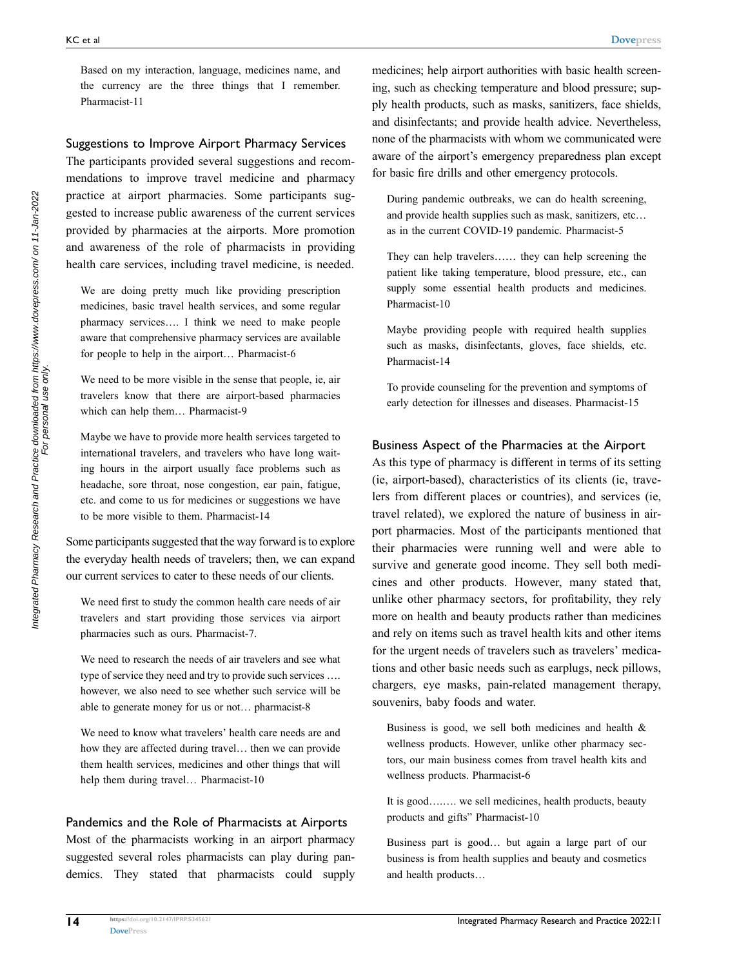Based on my interaction, language, medicines name, and the currency are the three things that I remember. Pharmacist-11

#### Suggestions to Improve Airport Pharmacy Services

The participants provided several suggestions and recommendations to improve travel medicine and pharmacy practice at airport pharmacies. Some participants suggested to increase public awareness of the current services provided by pharmacies at the airports. More promotion and awareness of the role of pharmacists in providing health care services, including travel medicine, is needed.

We are doing pretty much like providing prescription medicines, basic travel health services, and some regular pharmacy services…. I think we need to make people aware that comprehensive pharmacy services are available for people to help in the airport… Pharmacist-6

We need to be more visible in the sense that people, ie, air travelers know that there are airport-based pharmacies which can help them… Pharmacist-9

Maybe we have to provide more health services targeted to international travelers, and travelers who have long waiting hours in the airport usually face problems such as headache, sore throat, nose congestion, ear pain, fatigue, etc. and come to us for medicines or suggestions we have to be more visible to them. Pharmacist-14

Some participants suggested that the way forward is to explore the everyday health needs of travelers; then, we can expand our current services to cater to these needs of our clients.

We need first to study the common health care needs of air travelers and start providing those services via airport pharmacies such as ours. Pharmacist-7.

We need to research the needs of air travelers and see what type of service they need and try to provide such services …. however, we also need to see whether such service will be able to generate money for us or not… pharmacist-8

We need to know what travelers' health care needs are and how they are affected during travel… then we can provide them health services, medicines and other things that will help them during travel… Pharmacist-10

#### Pandemics and the Role of Pharmacists at Airports

Most of the pharmacists working in an airport pharmacy suggested several roles pharmacists can play during pandemics. They stated that pharmacists could supply medicines; help airport authorities with basic health screening, such as checking temperature and blood pressure; supply health products, such as masks, sanitizers, face shields, and disinfectants; and provide health advice. Nevertheless, none of the pharmacists with whom we communicated were aware of the airport's emergency preparedness plan except for basic fire drills and other emergency protocols.

During pandemic outbreaks, we can do health screening, and provide health supplies such as mask, sanitizers, etc… as in the current COVID-19 pandemic. Pharmacist-5

They can help travelers…… they can help screening the patient like taking temperature, blood pressure, etc., can supply some essential health products and medicines. Pharmacist-10

Maybe providing people with required health supplies such as masks, disinfectants, gloves, face shields, etc. Pharmacist-14

To provide counseling for the prevention and symptoms of early detection for illnesses and diseases. Pharmacist-15

#### Business Aspect of the Pharmacies at the Airport

As this type of pharmacy is different in terms of its setting (ie, airport-based), characteristics of its clients (ie, travelers from different places or countries), and services (ie, travel related), we explored the nature of business in airport pharmacies. Most of the participants mentioned that their pharmacies were running well and were able to survive and generate good income. They sell both medicines and other products. However, many stated that, unlike other pharmacy sectors, for profitability, they rely more on health and beauty products rather than medicines and rely on items such as travel health kits and other items for the urgent needs of travelers such as travelers' medications and other basic needs such as earplugs, neck pillows, chargers, eye masks, pain-related management therapy, souvenirs, baby foods and water.

Business is good, we sell both medicines and health & wellness products. However, unlike other pharmacy sectors, our main business comes from travel health kits and wellness products. Pharmacist-6

It is good….…. we sell medicines, health products, beauty products and gifts" Pharmacist-10

Business part is good… but again a large part of our business is from health supplies and beauty and cosmetics and health products…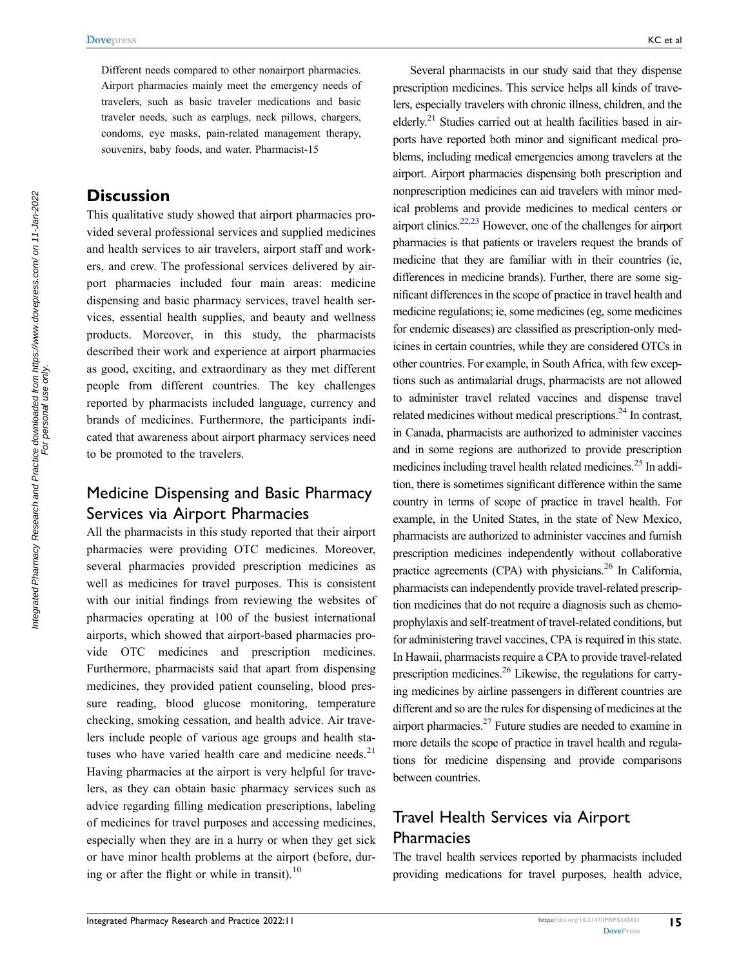Different needs compared to other nonairport pharmacies. Airport pharmacies mainly meet the emergency needs of travelers, such as basic traveler medications and basic traveler needs, such as earplugs, neck pillows, chargers, condoms, eye masks, pain-related management therapy, souvenirs, baby foods, and water. Pharmacist-15

### **Discussion**

This qualitative study showed that airport pharmacies provided several professional services and supplied medicines and health services to air travelers, airport staff and workers, and crew. The professional services delivered by airport pharmacies included four main areas: medicine dispensing and basic pharmacy services, travel health services, essential health supplies, and beauty and wellness products. Moreover, in this study, the pharmacists described their work and experience at airport pharmacies as good, exciting, and extraordinary as they met different people from different countries. The key challenges reported by pharmacists included language, currency and brands of medicines. Furthermore, the participants indicated that awareness about airport pharmacy services need to be promoted to the travelers.

### <span id="page-6-3"></span><span id="page-6-2"></span>Medicine Dispensing and Basic Pharmacy Services via Airport Pharmacies

All the pharmacists in this study reported that their airport pharmacies were providing OTC medicines. Moreover, several pharmacies provided prescription medicines as well as medicines for travel purposes. This is consistent with our initial findings from reviewing the websites of pharmacies operating at 100 of the busiest international airports, which showed that airport-based pharmacies provide OTC medicines and prescription medicines. Furthermore, pharmacists said that apart from dispensing medicines, they provided patient counseling, blood pressure reading, blood glucose monitoring, temperature checking, smoking cessation, and health advice. Air travelers include people of various age groups and health statuses who have varied health care and medicine needs. $21$ Having pharmacies at the airport is very helpful for travelers, as they can obtain basic pharmacy services such as advice regarding filling medication prescriptions, labeling of medicines for travel purposes and accessing medicines, especially when they are in a hurry or when they get sick or have minor health problems at the airport (before, during or after the flight or while in transit). $^{10}$  $^{10}$  $^{10}$ 

<span id="page-6-1"></span><span id="page-6-0"></span>Several pharmacists in our study said that they dispense prescription medicines. This service helps all kinds of travelers, especially travelers with chronic illness, children, and the elderly.<sup>21</sup> Studies carried out at health facilities based in airports have reported both minor and significant medical problems, including medical emergencies among travelers at the airport. Airport pharmacies dispensing both prescription and nonprescription medicines can aid travelers with minor medical problems and provide medicines to medical centers or airport clinics.[22](#page-10-1)[,23](#page-10-2) However, one of the challenges for airport pharmacies is that patients or travelers request the brands of medicine that they are familiar with in their countries (ie, differences in medicine brands). Further, there are some significant differences in the scope of practice in travel health and medicine regulations; ie, some medicines (eg, some medicines for endemic diseases) are classified as prescription-only medicines in certain countries, while they are considered OTCs in other countries. For example, in South Africa, with few exceptions such as antimalarial drugs, pharmacists are not allowed to administer travel related vaccines and dispense travel related medicines without medical prescriptions.<sup>24</sup> In contrast, in Canada, pharmacists are authorized to administer vaccines and in some regions are authorized to provide prescription medicines including travel health related medicines.<sup>25</sup> In addition, there is sometimes significant difference within the same country in terms of scope of practice in travel health. For example, in the United States, in the state of New Mexico, pharmacists are authorized to administer vaccines and furnish prescription medicines independently without collaborative practice agreements (CPA) with physicians.<sup>26</sup> In California, pharmacists can independently provide travel-related prescription medicines that do not require a diagnosis such as chemoprophylaxis and self-treatment of travel-related conditions, but for administering travel vaccines, CPA is required in this state. In Hawaii, pharmacists require a CPA to provide travel-related prescription medicines[.26](#page-10-5) Likewise, the regulations for carrying medicines by airline passengers in different countries are different and so are the rules for dispensing of medicines at the airport pharmacies[.27](#page-10-6) Future studies are needed to examine in more details the scope of practice in travel health and regulations for medicine dispensing and provide comparisons between countries.

## <span id="page-6-5"></span><span id="page-6-4"></span>Travel Health Services via Airport **Pharmacies**

The travel health services reported by pharmacists included providing medications for travel purposes, health advice,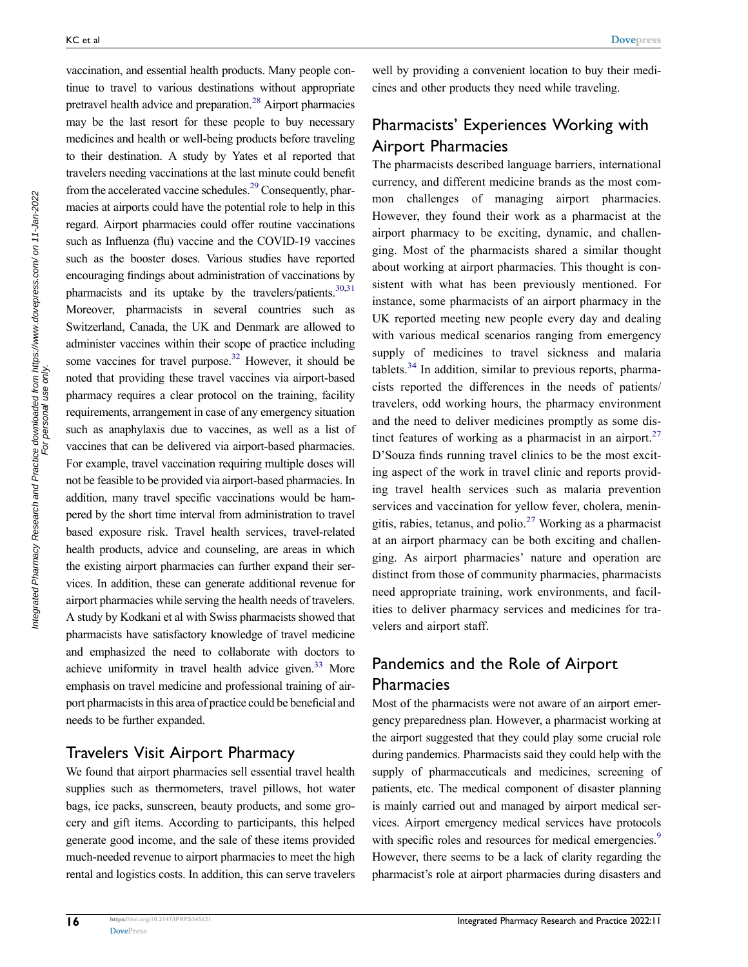<span id="page-7-3"></span><span id="page-7-2"></span><span id="page-7-1"></span><span id="page-7-0"></span>vaccination, and essential health products. Many people continue to travel to various destinations without appropriate pretravel health advice and preparation.<sup>28</sup> Airport pharmacies may be the last resort for these people to buy necessary medicines and health or well-being products before traveling to their destination. A study by Yates et al reported that travelers needing vaccinations at the last minute could benefit from the accelerated vaccine schedules.<sup>29</sup> Consequently, pharmacies at airports could have the potential role to help in this regard. Airport pharmacies could offer routine vaccinations such as Influenza (flu) vaccine and the COVID-19 vaccines such as the booster doses. Various studies have reported encouraging findings about administration of vaccinations by pharmacists and its uptake by the travelers/patients. $30,31$  $30,31$ Moreover, pharmacists in several countries such as Switzerland, Canada, the UK and Denmark are allowed to administer vaccines within their scope of practice including some vaccines for travel purpose.<sup>32</sup> However, it should be noted that providing these travel vaccines via airport-based pharmacy requires a clear protocol on the training, facility requirements, arrangement in case of any emergency situation such as anaphylaxis due to vaccines, as well as a list of vaccines that can be delivered via airport-based pharmacies. For example, travel vaccination requiring multiple doses will not be feasible to be provided via airport-based pharmacies. In addition, many travel specific vaccinations would be hampered by the short time interval from administration to travel based exposure risk. Travel health services, travel-related health products, advice and counseling, are areas in which the existing airport pharmacies can further expand their services. In addition, these can generate additional revenue for airport pharmacies while serving the health needs of travelers. A study by Kodkani et al with Swiss pharmacists showed that pharmacists have satisfactory knowledge of travel medicine and emphasized the need to collaborate with doctors to achieve uniformity in travel health advice given.<sup>33</sup> More emphasis on travel medicine and professional training of airport pharmacists in this area of practice could be beneficial and needs to be further expanded.

### <span id="page-7-4"></span>Travelers Visit Airport Pharmacy

We found that airport pharmacies sell essential travel health supplies such as thermometers, travel pillows, hot water bags, ice packs, sunscreen, beauty products, and some grocery and gift items. According to participants, this helped generate good income, and the sale of these items provided much-needed revenue to airport pharmacies to meet the high rental and logistics costs. In addition, this can serve travelers

well by providing a convenient location to buy their medicines and other products they need while traveling.

### Pharmacists' Experiences Working with Airport Pharmacies

<span id="page-7-5"></span>The pharmacists described language barriers, international currency, and different medicine brands as the most common challenges of managing airport pharmacies. However, they found their work as a pharmacist at the airport pharmacy to be exciting, dynamic, and challenging. Most of the pharmacists shared a similar thought about working at airport pharmacies. This thought is consistent with what has been previously mentioned. For instance, some pharmacists of an airport pharmacy in the UK reported meeting new people every day and dealing with various medical scenarios ranging from emergency supply of medicines to travel sickness and malaria tablets. $34$  In addition, similar to previous reports, pharmacists reported the differences in the needs of patients/ travelers, odd working hours, the pharmacy environment and the need to deliver medicines promptly as some dis-tinct features of working as a pharmacist in an airport.<sup>[27](#page-10-6)</sup> D'Souza finds running travel clinics to be the most exciting aspect of the work in travel clinic and reports providing travel health services such as malaria prevention services and vaccination for yellow fever, cholera, meningitis, rabies, tetanus, and polio. $27$  Working as a pharmacist at an airport pharmacy can be both exciting and challenging. As airport pharmacies' nature and operation are distinct from those of community pharmacies, pharmacists need appropriate training, work environments, and facilities to deliver pharmacy services and medicines for travelers and airport staff.

### Pandemics and the Role of Airport Pharmacies

Most of the pharmacists were not aware of an airport emergency preparedness plan. However, a pharmacist working at the airport suggested that they could play some crucial role during pandemics. Pharmacists said they could help with the supply of pharmaceuticals and medicines, screening of patients, etc. The medical component of disaster planning is mainly carried out and managed by airport medical services. Airport emergency medical services have protocols with specific roles and resources for medical emergencies.<sup>[9](#page-9-7)</sup> However, there seems to be a lack of clarity regarding the pharmacist's role at airport pharmacies during disasters and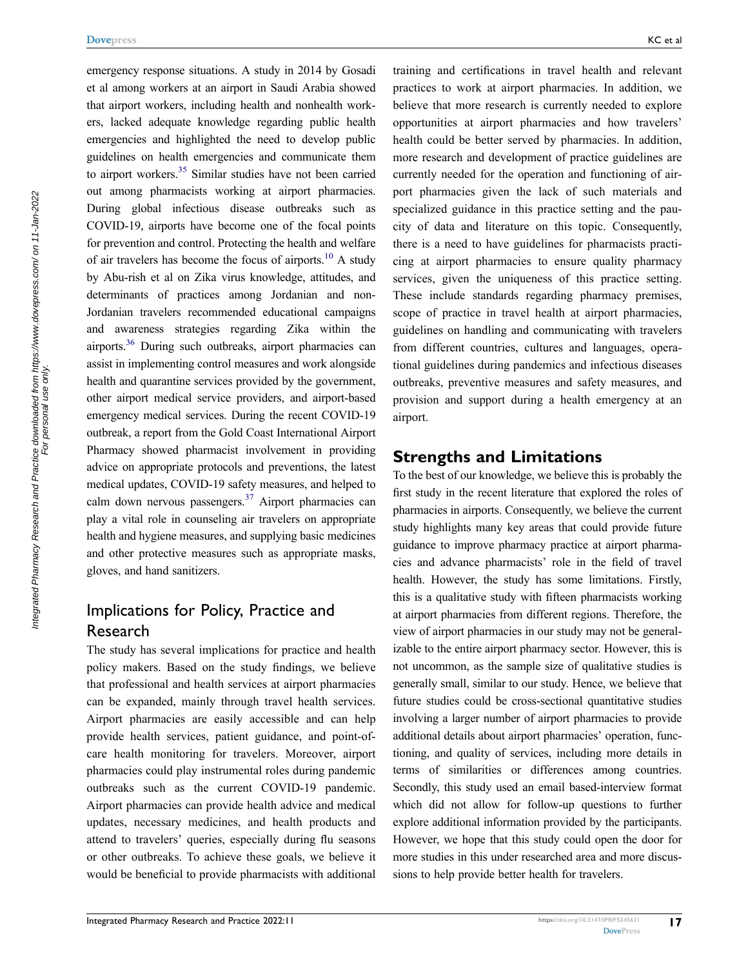<span id="page-8-1"></span><span id="page-8-0"></span>emergency response situations. A study in 2014 by Gosadi et al among workers at an airport in Saudi Arabia showed that airport workers, including health and nonhealth workers, lacked adequate knowledge regarding public health emergencies and highlighted the need to develop public guidelines on health emergencies and communicate them to airport workers.<sup>[35](#page-10-14)</sup> Similar studies have not been carried out among pharmacists working at airport pharmacies. During global infectious disease outbreaks such as COVID-19, airports have become one of the focal points for prevention and control. Protecting the health and welfare of air travelers has become the focus of airports.<sup>10</sup> A study by Abu-rish et al on Zika virus knowledge, attitudes, and determinants of practices among Jordanian and non-Jordanian travelers recommended educational campaigns and awareness strategies regarding Zika within the airports[.36](#page-10-15) During such outbreaks, airport pharmacies can assist in implementing control measures and work alongside health and quarantine services provided by the government, other airport medical service providers, and airport-based emergency medical services. During the recent COVID-19 outbreak, a report from the Gold Coast International Airport Pharmacy showed pharmacist involvement in providing advice on appropriate protocols and preventions, the latest medical updates, COVID-19 safety measures, and helped to calm down nervous passengers. $37$  Airport pharmacies can play a vital role in counseling air travelers on appropriate health and hygiene measures, and supplying basic medicines and other protective measures such as appropriate masks, gloves, and hand sanitizers.

### <span id="page-8-2"></span>Implications for Policy, Practice and Research

The study has several implications for practice and health policy makers. Based on the study findings, we believe that professional and health services at airport pharmacies can be expanded, mainly through travel health services. Airport pharmacies are easily accessible and can help provide health services, patient guidance, and point-ofcare health monitoring for travelers. Moreover, airport pharmacies could play instrumental roles during pandemic outbreaks such as the current COVID-19 pandemic. Airport pharmacies can provide health advice and medical updates, necessary medicines, and health products and attend to travelers' queries, especially during flu seasons or other outbreaks. To achieve these goals, we believe it would be beneficial to provide pharmacists with additional

training and certifications in travel health and relevant practices to work at airport pharmacies. In addition, we believe that more research is currently needed to explore opportunities at airport pharmacies and how travelers' health could be better served by pharmacies. In addition, more research and development of practice guidelines are currently needed for the operation and functioning of airport pharmacies given the lack of such materials and specialized guidance in this practice setting and the paucity of data and literature on this topic. Consequently, there is a need to have guidelines for pharmacists practicing at airport pharmacies to ensure quality pharmacy services, given the uniqueness of this practice setting. These include standards regarding pharmacy premises, scope of practice in travel health at airport pharmacies, guidelines on handling and communicating with travelers from different countries, cultures and languages, operational guidelines during pandemics and infectious diseases outbreaks, preventive measures and safety measures, and provision and support during a health emergency at an airport.

### **Strengths and Limitations**

To the best of our knowledge, we believe this is probably the first study in the recent literature that explored the roles of pharmacies in airports. Consequently, we believe the current study highlights many key areas that could provide future guidance to improve pharmacy practice at airport pharmacies and advance pharmacists' role in the field of travel health. However, the study has some limitations. Firstly, this is a qualitative study with fifteen pharmacists working at airport pharmacies from different regions. Therefore, the view of airport pharmacies in our study may not be generalizable to the entire airport pharmacy sector. However, this is not uncommon, as the sample size of qualitative studies is generally small, similar to our study. Hence, we believe that future studies could be cross-sectional quantitative studies involving a larger number of airport pharmacies to provide additional details about airport pharmacies' operation, functioning, and quality of services, including more details in terms of similarities or differences among countries. Secondly, this study used an email based-interview format which did not allow for follow-up questions to further explore additional information provided by the participants. However, we hope that this study could open the door for more studies in this under researched area and more discussions to help provide better health for travelers.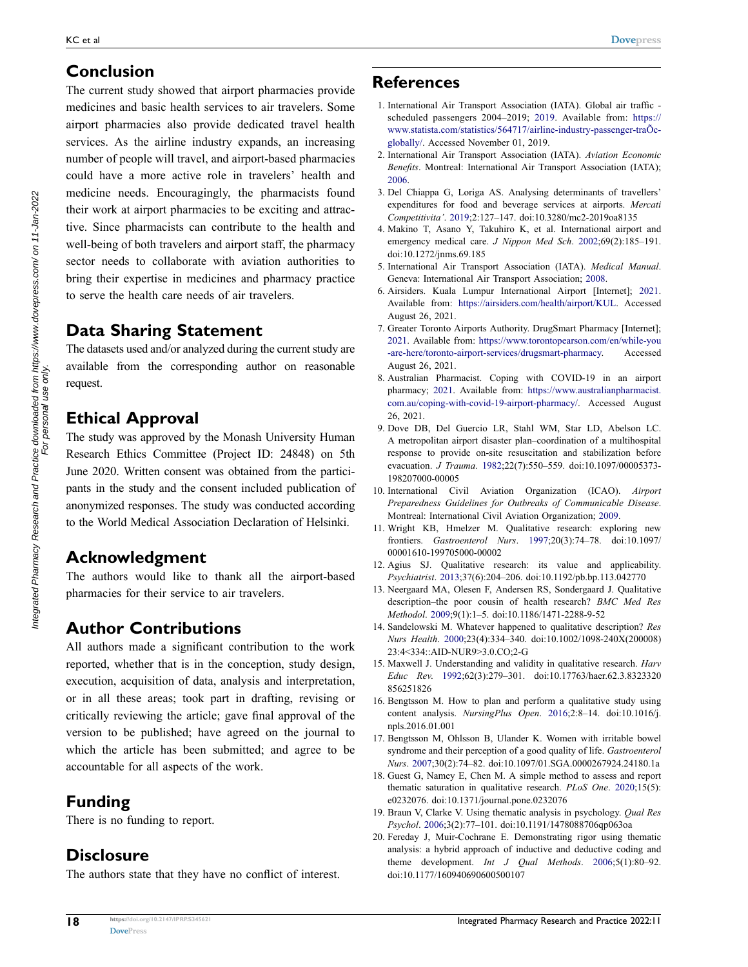### **Conclusion**

The current study showed that airport pharmacies provide medicines and basic health services to air travelers. Some airport pharmacies also provide dedicated travel health services. As the airline industry expands, an increasing number of people will travel, and airport-based pharmacies could have a more active role in travelers' health and medicine needs. Encouragingly, the pharmacists found their work at airport pharmacies to be exciting and attractive. Since pharmacists can contribute to the health and well-being of both travelers and airport staff, the pharmacy sector needs to collaborate with aviation authorities to bring their expertise in medicines and pharmacy practice to serve the health care needs of air travelers.

### **Data Sharing Statement**

The datasets used and/or analyzed during the current study are available from the corresponding author on reasonable request.

### **Ethical Approval**

The study was approved by the Monash University Human Research Ethics Committee (Project ID: 24848) on 5th June 2020. Written consent was obtained from the participants in the study and the consent included publication of anonymized responses. The study was conducted according to the World Medical Association Declaration of Helsinki.

### **Acknowledgment**

The authors would like to thank all the airport-based pharmacies for their service to air travelers.

### **Author Contributions**

All authors made a significant contribution to the work reported, whether that is in the conception, study design, execution, acquisition of data, analysis and interpretation, or in all these areas; took part in drafting, revising or critically reviewing the article; gave final approval of the version to be published; have agreed on the journal to which the article has been submitted; and agree to be accountable for all aspects of the work.

### **Funding**

There is no funding to report.

### **Disclosure**

The authors state that they have no conflict of interest.

### **References**

- <span id="page-9-0"></span>1. International Air Transport Association (IATA). Global air traffic scheduled passengers 2004–2019; [2019](#page-1-0). Available from: [https://](https://www.statista.com/statistics/564717/airline-industry-passenger-tra%D5c-globally/)  [www.statista.com/statistics/564717/airline-industry-passenger-traÕc](https://www.statista.com/statistics/564717/airline-industry-passenger-tra%D5c-globally/)[globally/.](https://www.statista.com/statistics/564717/airline-industry-passenger-tra%D5c-globally/) Accessed November 01, 2019.
- <span id="page-9-1"></span>2. International Air Transport Association (IATA). *Aviation Economic Benefits*. Montreal: International Air Transport Association (IATA); [2006](#page-1-1).
- <span id="page-9-2"></span>3. Del Chiappa G, Loriga AS. Analysing determinants of travellers' expenditures for food and beverage services at airports. *Mercati Competitivita'*. [2019](#page-1-2);2:127–147. doi:[10.3280/mc2-2019oa8135](https://doi.org/10.3280/mc2-2019oa8135)
- <span id="page-9-3"></span>4. Makino T, Asano Y, Takuhiro K, et al. International airport and emergency medical care. *J Nippon Med Sch*. [2002;](#page-1-3)69(2):185–191. doi:[10.1272/jnms.69.185](https://doi.org/10.1272/jnms.69.185)
- <span id="page-9-4"></span>5. International Air Transport Association (IATA). *Medical Manual*. Geneva: International Air Transport Association; [2008.](#page-1-4)
- <span id="page-9-5"></span>6. Airsiders. Kuala Lumpur International Airport [Internet]; [2021](#page-1-5). Available from: <https://airsiders.com/health/airport/KUL>. Accessed August 26, 2021.
- 7. Greater Toronto Airports Authority. DrugSmart Pharmacy [Internet]; 2021. Available from: [https://www.torontopearson.com/en/while-you](https://www.torontopearson.com/en/while-you-are-here/toronto-airport-services/drugsmart-pharmacy) [-are-here/toronto-airport-services/drugsmart-pharmacy.](https://www.torontopearson.com/en/while-you-are-here/toronto-airport-services/drugsmart-pharmacy) Accessed August 26, 2021.
- <span id="page-9-6"></span>8. Australian Pharmacist. Coping with COVID-19 in an airport pharmacy; 2021. Available from: [https://www.australianpharmacist.](https://www.australianpharmacist.com.au/coping-with-covid-19-airport-pharmacy/) [com.au/coping-with-covid-19-airport-pharmacy/](https://www.australianpharmacist.com.au/coping-with-covid-19-airport-pharmacy/). Accessed August 26, 2021.
- <span id="page-9-7"></span>9. Dove DB, Del Guercio LR, Stahl WM, Star LD, Abelson LC. A metropolitan airport disaster plan–coordination of a multihospital response to provide on-site resuscitation and stabilization before evacuation. *J Trauma*. [1982;](#page-1-3)22(7):550–559. doi:[10.1097/00005373-](https://doi.org/10.1097/00005373-198207000-00005) [198207000-00005](https://doi.org/10.1097/00005373-198207000-00005)
- <span id="page-9-8"></span>10. International Civil Aviation Organization (ICAO). *Airport Preparedness Guidelines for Outbreaks of Communicable Disease*. Montreal: International Civil Aviation Organization; [2009](#page-1-6).
- <span id="page-9-9"></span>11. Wright KB, Hmelzer M. Qualitative research: exploring new frontiers. *Gastroenterol Nurs*. [1997;](#page-1-7)20(3):74–78. doi:[10.1097/](https://doi.org/10.1097/00001610-199705000-00002) [00001610-199705000-00002](https://doi.org/10.1097/00001610-199705000-00002)
- <span id="page-9-10"></span>12. Agius SJ. Qualitative research: its value and applicability. *Psychiatrist*. [2013](#page-1-8);37(6):204–206. doi:[10.1192/pb.bp.113.042770](https://doi.org/10.1192/pb.bp.113.042770)
- <span id="page-9-11"></span>13. Neergaard MA, Olesen F, Andersen RS, Sondergaard J. Qualitative description–the poor cousin of health research? *BMC Med Res Methodol*. [2009;](#page-1-9)9(1):1–5. doi:[10.1186/1471-2288-9-52](https://doi.org/10.1186/1471-2288-9-52)
- <span id="page-9-12"></span>14. Sandelowski M. Whatever happened to qualitative description? *Res Nurs Health*. [2000;](#page-1-9)23(4):334–340. doi:[10.1002/1098-240X\(200008\)](https://doi.org/10.1002/1098-240X(200008)23:4%3C334::AID-NUR9%3E3.0.CO;2-G) [23:4<334::AID-NUR9>3.0.CO;2-G](https://doi.org/10.1002/1098-240X(200008)23:4%3C334::AID-NUR9%3E3.0.CO;2-G)
- <span id="page-9-13"></span>15. Maxwell J. Understanding and validity in qualitative research. *Harv Educ Rev*. [1992](#page-1-10);62(3):279–301. doi:[10.17763/haer.62.3.8323320](https://doi.org/10.17763/haer.62.3.8323320856251826) [856251826](https://doi.org/10.17763/haer.62.3.8323320856251826)
- <span id="page-9-14"></span>16. Bengtsson M. How to plan and perform a qualitative study using content analysis. *NursingPlus Open*. [2016;](#page-2-0)2:8–14. doi:[10.1016/j.](https://doi.org/10.1016/j.npls.2016.01.001) [npls.2016.01.001](https://doi.org/10.1016/j.npls.2016.01.001)
- <span id="page-9-15"></span>17. Bengtsson M, Ohlsson B, Ulander K. Women with irritable bowel syndrome and their perception of a good quality of life. *Gastroenterol Nurs*. [2007;](#page-2-0)30(2):74–82. doi:[10.1097/01.SGA.0000267924.24180.1a](https://doi.org/10.1097/01.SGA.0000267924.24180.1a)
- <span id="page-9-16"></span>18. Guest G, Namey E, Chen M. A simple method to assess and report thematic saturation in qualitative research. *PLoS One*. [2020;](#page-2-1)15(5): e0232076. doi:[10.1371/journal.pone.0232076](https://doi.org/10.1371/journal.pone.0232076)
- <span id="page-9-17"></span>19. Braun V, Clarke V. Using thematic analysis in psychology. *Qual Res Psychol*. [2006](#page-2-2);3(2):77–101. doi:[10.1191/1478088706qp063oa](https://doi.org/10.1191/1478088706qp063oa)
- <span id="page-9-18"></span>20. Fereday J, Muir-Cochrane E. Demonstrating rigor using thematic analysis: a hybrid approach of inductive and deductive coding and theme development. *Int J Qual Methods*. [2006;](#page-2-2)5(1):80–92. doi:[10.1177/160940690600500107](https://doi.org/10.1177/160940690600500107)